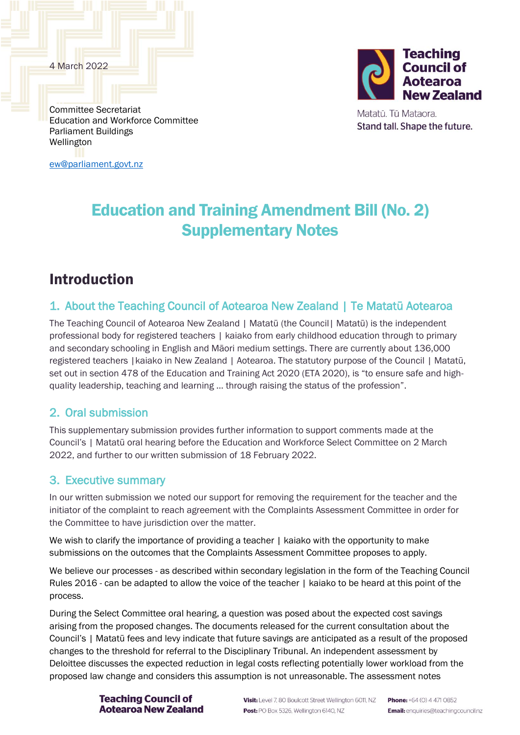4 March 2022



Matatū. Tū Mataora. Stand tall. Shape the future.

Committee Secretariat Education and Workforce Committee Parliament Buildings Wellington

[ew@parliament.govt.nz](mailto:ew@parliament.govt.nz)

# Education and Training Amendment Bill (No. 2) Supplementary Notes

## Introduction

## 1. About the Teaching Council of Aotearoa New Zealand | Te Matatū Aotearoa

The Teaching Council of Aotearoa New Zealand | Matatū (the Council| Matatū) is the independent professional body for registered teachers | kaiako from early childhood education through to primary and secondary schooling in English and Māori medium settings. There are currently about 136,000 registered teachers |kaiako in New Zealand | Aotearoa. The statutory purpose of the Council | Matatū, set out in section 478 of the Education and Training Act 2020 (ETA 2020), is "to ensure safe and highquality leadership, teaching and learning … through raising the status of the profession".

## 2. Oral submission

This supplementary submission provides further information to support comments made at the Council's | Matatū oral hearing before the Education and Workforce Select Committee on 2 March 2022, and further to our written submission of 18 February 2022.

## 3. Executive summary

In our written submission we noted our support for removing the requirement for the teacher and the initiator of the complaint to reach agreement with the Complaints Assessment Committee in order for the Committee to have jurisdiction over the matter.

We wish to clarify the importance of providing a teacher I kaiako with the opportunity to make submissions on the outcomes that the Complaints Assessment Committee proposes to apply.

We believe our processes - as described within secondary legislation in the form of the Teaching Council Rules 2016 - can be adapted to allow the voice of the teacher | kaiako to be heard at this point of the process.

During the Select Committee oral hearing, a question was posed about the expected cost savings arising from the proposed changes. The documents released for the current consultation about the Council's | Matatū fees and levy indicate that future savings are anticipated as a result of the proposed changes to the threshold for referral to the Disciplinary Tribunal. An independent assessment by Deloittee discusses the expected reduction in legal costs reflecting potentially lower workload from the proposed law change and considers this assumption is not unreasonable. The assessment notes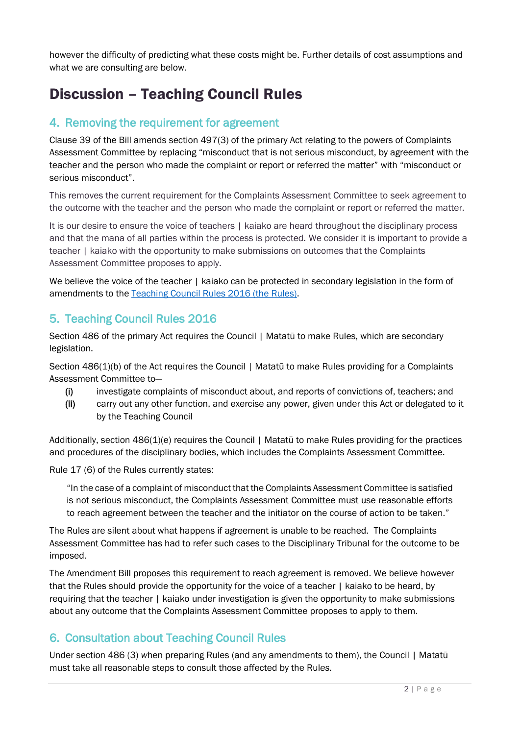however the difficulty of predicting what these costs might be. Further details of cost assumptions and what we are consulting are below.

# Discussion – Teaching Council Rules

## 4. Removing the requirement for agreement

Clause 39 of the Bill amends section 497(3) of the primary Act relating to the powers of Complaints Assessment Committee by replacing "misconduct that is not serious misconduct, by agreement with the teacher and the person who made the complaint or report or referred the matter" with "misconduct or serious misconduct".

This removes the current requirement for the Complaints Assessment Committee to seek agreement to the outcome with the teacher and the person who made the complaint or report or referred the matter.

It is our desire to ensure the voice of teachers | kaiako are heard throughout the disciplinary process and that the mana of all parties within the process is protected. We consider it is important to provide a teacher | kaiako with the opportunity to make submissions on outcomes that the Complaints Assessment Committee proposes to apply.

We believe the voice of the teacher | kaiako can be protected in secondary legislation in the form of amendments to the [Teaching Council Rules 2016](https://www.legislation.govt.nz/regulation/public/2016/0122/latest/DLM6851983.html) (the Rules).

## 5. Teaching Council Rules 2016

Section 486 of the primary Act requires the Council | Matatū to make Rules, which are secondary legislation.

Section 486(1)(b) of the Act requires the Council | Matatū to make Rules providing for a Complaints Assessment Committee to—

- (i) investigate complaints of misconduct about, and reports of convictions of, teachers; and
- (ii) carry out any other function, and exercise any power, given under this Act or delegated to it by the Teaching Council

Additionally, section 486(1)(e) requires the Council | Matatū to make Rules providing for the practices and procedures of the disciplinary bodies, which includes the Complaints Assessment Committee.

Rule 17 (6) of the Rules currently states:

"In the case of a complaint of misconduct that the Complaints Assessment Committee is satisfied is not serious misconduct, the Complaints Assessment Committee must use reasonable efforts to reach agreement between the teacher and the initiator on the course of action to be taken."

The Rules are silent about what happens if agreement is unable to be reached. The Complaints Assessment Committee has had to refer such cases to the Disciplinary Tribunal for the outcome to be imposed.

The Amendment Bill proposes this requirement to reach agreement is removed. We believe however that the Rules should provide the opportunity for the voice of a teacher | kaiako to be heard, by requiring that the teacher | kaiako under investigation is given the opportunity to make submissions about any outcome that the Complaints Assessment Committee proposes to apply to them.

## 6. Consultation about Teaching Council Rules

Under section 486 (3) *w*hen preparing Rules (and any amendments to them), the Council | Matatū must take all reasonable steps to consult those affected by the Rul*es.*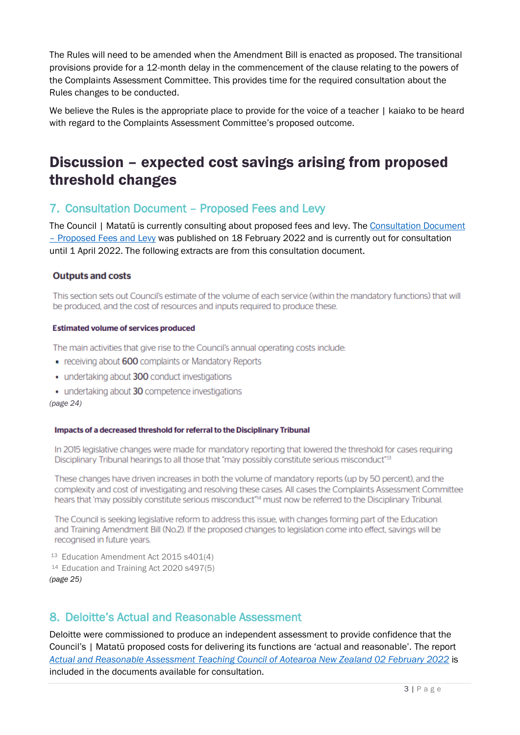The Rules will need to be amended when the Amendment Bill is enacted as proposed. The transitional provisions provide for a 12-month delay in the commencement of the clause relating to the powers of the Complaints Assessment Committee. This provides time for the required consultation about the Rules changes to be conducted.

We believe the Rules is the appropriate place to provide for the voice of a teacher | kaiako to be heard with regard to the Complaints Assessment Committee's proposed outcome.

## Discussion – expected cost savings arising from proposed threshold changes

## 7. Consultation Document – Proposed Fees and Levy

The Council | Matatū is currently consulting about proposed fees and levy. The [Consultation Document](https://teachingcouncil.nz/assets/Files/Fees/TC-Consultation-DocumentProposed-fees-and-levy.pdf)  – [Proposed Fees and Levy](https://teachingcouncil.nz/assets/Files/Fees/TC-Consultation-DocumentProposed-fees-and-levy.pdf) was published on 18 February 2022 and is currently out for consultation until 1 April 2022. The following extracts are from this consultation document.

### **Outputs and costs**

This section sets out Council's estimate of the volume of each service (within the mandatory functions) that will be produced, and the cost of resources and inputs required to produce these.

#### **Estimated volume of services produced**

The main activities that give rise to the Council's annual operating costs include:

- receiving about 600 complaints or Mandatory Reports
- undertaking about 300 conduct investigations
- undertaking about 30 competence investigations

*(page 24)*

#### Impacts of a decreased threshold for referral to the Disciplinary Tribunal

In 2015 legislative changes were made for mandatory reporting that lowered the threshold for cases requiring Disciplinary Tribunal hearings to all those that "may possibly constitute serious misconduct"<sup>13</sup>

These changes have driven increases in both the volume of mandatory reports (up by 50 percent), and the complexity and cost of investigating and resolving these cases. All cases the Complaints Assessment Committee hears that 'may possibly constitute serious misconduct"<sup>14</sup> must now be referred to the Disciplinary Tribunal.

The Council is seeking legislative reform to address this issue, with changes forming part of the Education and Training Amendment Bill (No.2). If the proposed changes to legislation come into effect, savings will be recognised in future years.

<sup>13</sup> Education Amendment Act 2015 s401(4) <sup>14</sup> Education and Training Act 2020 s497(5) *(page 25)*

## 8. Deloitte's Actual and Reasonable Assessment

Deloitte were commissioned to produce an independent assessment to provide confidence that the Council's | Matatū proposed costs for delivering its functions are 'actual and reasonable'. The report *[Actual and Reasonable Assessment Teaching Council of Aotearoa New Zealand 02 February 2022](https://teachingcouncil.nz/assets/Files/Fees/Deloitte_Actual-and-Reasonable-Assessment-02-February-2022.pdf)* is included in the documents available for consultation.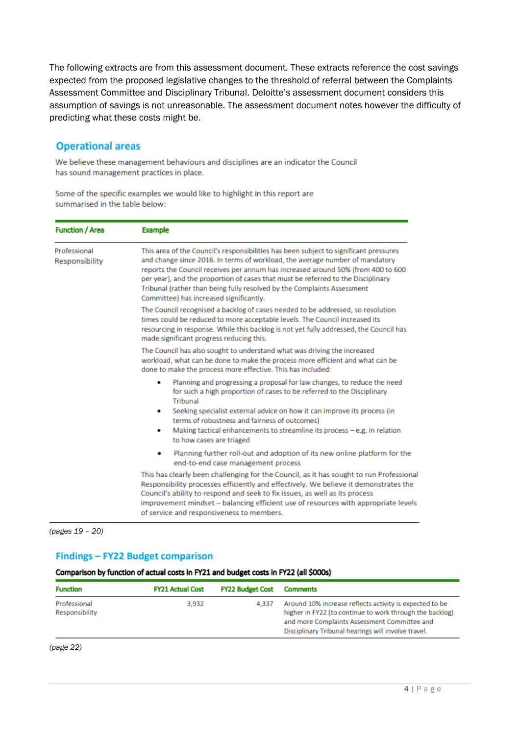The following extracts are from this assessment document. These extracts reference the cost savings expected from the proposed legislative changes to the threshold of referral between the Complaints Assessment Committee and Disciplinary Tribunal. Deloitte's assessment document considers this assumption of savings is not unreasonable. The assessment document notes however the difficulty of predicting what these costs might be.

### **Operational areas**

We believe these management behaviours and disciplines are an indicator the Council has sound management practices in place.

| <b>Function / Area</b>         | <b>Example</b>                                                                                                                                                                                                                                                                                                                                                                                                                                                      |  |  |  |  |
|--------------------------------|---------------------------------------------------------------------------------------------------------------------------------------------------------------------------------------------------------------------------------------------------------------------------------------------------------------------------------------------------------------------------------------------------------------------------------------------------------------------|--|--|--|--|
| Professional<br>Responsibility | This area of the Council's responsibilities has been subject to significant pressures<br>and change since 2016. In terms of workload, the average number of mandatory<br>reports the Council receives per annum has increased around 50% (from 400 to 600<br>per year), and the proportion of cases that must be referred to the Disciplinary<br>Tribunal (rather than being fully resolved by the Complaints Assessment<br>Committee) has increased significantly. |  |  |  |  |
|                                | The Council recognised a backlog of cases needed to be addressed, so resolution<br>times could be reduced to more acceptable levels. The Council increased its<br>resourcing in response. While this backlog is not yet fully addressed, the Council has<br>made significant progress reducing this.                                                                                                                                                                |  |  |  |  |
|                                | The Council has also sought to understand what was driving the increased<br>workload, what can be done to make the process more efficient and what can be<br>done to make the process more effective. This has included:                                                                                                                                                                                                                                            |  |  |  |  |
|                                | Planning and progressing a proposal for law changes, to reduce the need<br>for such a high proportion of cases to be referred to the Disciplinary<br>Tribunal<br>Seeking specialist external advice on how it can improve its process (in<br>۰<br>terms of robustness and fairness of outcomes)<br>Making tactical enhancements to streamline its process $-e.g.$ in relation<br>۰<br>to how cases are triaged                                                      |  |  |  |  |
|                                | Planning further roll-out and adoption of its new online platform for the<br>۰<br>end-to-end case management process                                                                                                                                                                                                                                                                                                                                                |  |  |  |  |
|                                | This has clearly been challenging for the Council, as it has sought to run Professional<br>Responsibility processes efficiently and effectively. We believe it demonstrates the<br>Council's ability to respond and seek to fix issues, as well as its process<br>improvement mindset - balancing efficient use of resources with appropriate levels<br>of service and responsiveness to members.                                                                   |  |  |  |  |

Some of the specific examples we would like to highlight in this report are summarised in the table below:

*(pages 19 – 20)*

### Findings - FY22 Budget comparison

#### Comparison by function of actual costs in FY21 and budget costs in FY22 (all \$000s)

| <b>Function</b>                | <b>FY21 Actual Cost</b> | <b>FY22 Budget Cost</b> | <b>Comments</b>                                                                                                                                                                                                            |
|--------------------------------|-------------------------|-------------------------|----------------------------------------------------------------------------------------------------------------------------------------------------------------------------------------------------------------------------|
| Professional<br>Responsibility | 3.932                   | 4.337                   | Around 10% increase reflects activity is expected to be<br>higher in FY22 (to continue to work through the backlog)<br>and more Complaints Assessment Committee and<br>Disciplinary Tribunal hearings will involve travel. |

*(page 22)*